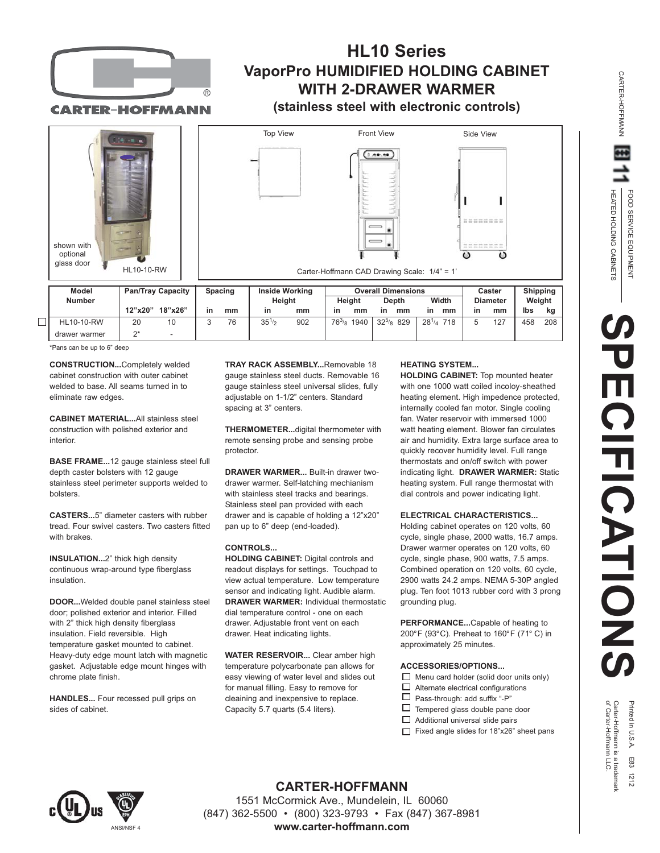

## **HL10 Series VaporPro HUMIDIFIED HOLDING CABINET WITH 2-DRAWER WARMER**

**CARTER-HOFFMANN** 

# **(stainless steel with electronic controls)**



| Model             | <b>Pan/Tray Capacity</b> |         | <b>Spacing</b> |    | <b>Inside Working</b><br>Height |     | <b>Overall Dimensions</b> |      |                   |                   | Caster |                 | Shipping |        |
|-------------------|--------------------------|---------|----------------|----|---------------------------------|-----|---------------------------|------|-------------------|-------------------|--------|-----------------|----------|--------|
| <b>Number</b>     |                          |         |                |    |                                 |     | Heiaht                    |      | Depth             | Width             |        | <b>Diameter</b> |          | Weight |
|                   | 12"x20"                  | 18"x26" | in             | mm | in                              | mm  | in                        | mm   | mm<br>ın          | in<br>mm          | in     | mm              | Ibs      | ka     |
| <b>HL10-10-RW</b> | 20                       | 10      |                | 76 | $35^{1/2}$                      | 902 | $76^{3}/_8$               | 1940 | $32^{5/8}$<br>829 | $28^{1/4}$<br>718 |        | 127             | 458      | 208    |
| drawer warmer     | ባ*                       |         |                |    |                                 |     |                           |      |                   |                   |        |                 |          |        |

\*Pans can be up to 6" deep

**CONSTRUCTION...**Completely welded cabinet construction with outer cabinet welded to base. All seams turned in to eliminate raw edges.

**CABINET MATERIAL...**All stainless steel construction with polished exterior and interior.

**BASE FRAME...**12 gauge stainless steel full depth caster bolsters with 12 gauge stainless steel perimeter supports welded to bolsters.

**CASTERS...**5" diameter casters with rubber tread. Four swivel casters. Two casters fitted with **brakes** 

**INSULATION...**2" thick high density continuous wrap-around type fiberglass insulation.

**DOOR...**Welded double panel stainless steel door; polished exterior and interior. Filled with 2" thick high density fiberglass insulation. Field reversible. High temperature gasket mounted to cabinet. Heavy-duty edge mount latch with magnetic gasket. Adjustable edge mount hinges with chrome plate finish.

**HANDLES...** Four recessed pull grips on sides of cabinet.

**TRAY RACK ASSEMBLY...**Removable 18 gauge stainless steel ducts. Removable 16 gauge stainless steel universal slides, fully adjustable on 1-1/2" centers. Standard spacing at 3" centers.

**THERMOMETER...**digital thermometer with remote sensing probe and sensing probe protector.

**DRAWER WARMER...** Built-in drawer twodrawer warmer. Self-latching mechianism with stainless steel tracks and bearings. Stainless steel pan provided with each drawer and is capable of holding a 12"x20" pan up to 6" deep (end-loaded).

#### **CONTROLS...**

**HOLDING CABINET:** Digital controls and readout displays for settings. Touchpad to view actual temperature. Low temperature sensor and indicating light. Audible alarm. **DRAWER WARMER:** Individual thermostatic dial temperature control - one on each drawer. Adjustable front vent on each drawer. Heat indicating lights.

**WATER RESERVOIR...** Clear amber high temperature polycarbonate pan allows for easy viewing of water level and slides out for manual filling. Easy to remove for cleaining and inexpensive to replace. Capacity 5.7 quarts (5.4 liters).

#### **HEATING SYSTEM...**

**HOLDING CABINET:** Top mounted heater with one 1000 watt coiled incoloy-sheathed heating element. High impedence protected, internally cooled fan motor. Single cooling fan. Water reservoir with immersed 1000 watt heating element. Blower fan circulates air and humidity. Extra large surface area to quickly recover humidity level. Full range thermostats and on/off switch with power indicating light. **DRAWER WARMER:** Static heating system. Full range thermostat with dial controls and power indicating light.

#### **ELECTRICAL CHARACTERISTICS...**

Holding cabinet operates on 120 volts, 60 cycle, single phase, 2000 watts, 16.7 amps. Drawer warmer operates on 120 volts, 60 cycle, single phase, 900 watts, 7.5 amps. Combined operation on 120 volts, 60 cycle, 2900 watts 24.2 amps. NEMA 5-30P angled plug. Ten foot 1013 rubber cord with 3 prong grounding plug.

**PERFORMANCE...**Capable of heating to 200°F (93°C). Preheat to 160°F (71° C) in approximately 25 minutes.

#### **ACCESSORIES/OPTIONS...**

- $\Box$  Menu card holder (solid door units only)
- П Alternate electrical configurations
- $\Box$  Pass-through: add suffix "-P"
- $\Box$  Tempered glass double pane door
- $\Box$  Additional universal slide pairs
- Fixed angle slides for 18"x26" sheet pans



HEATED HOLDING CABINETS FOOD SERVICE EQUIPMENT

HEATED HOLDING CABINETS FOOD SERVICE EQUIPMENT

CARTER-HOFFMANN

CARTER-HOFFMANN



**CARTER-HOFFMANN** 1551 McCormick Ave., Mundelein, IL 60060 (847) 362-5500 • (800) 323-9793 • Fax (847) 367-8981 **www.carter-hoffmann.com**